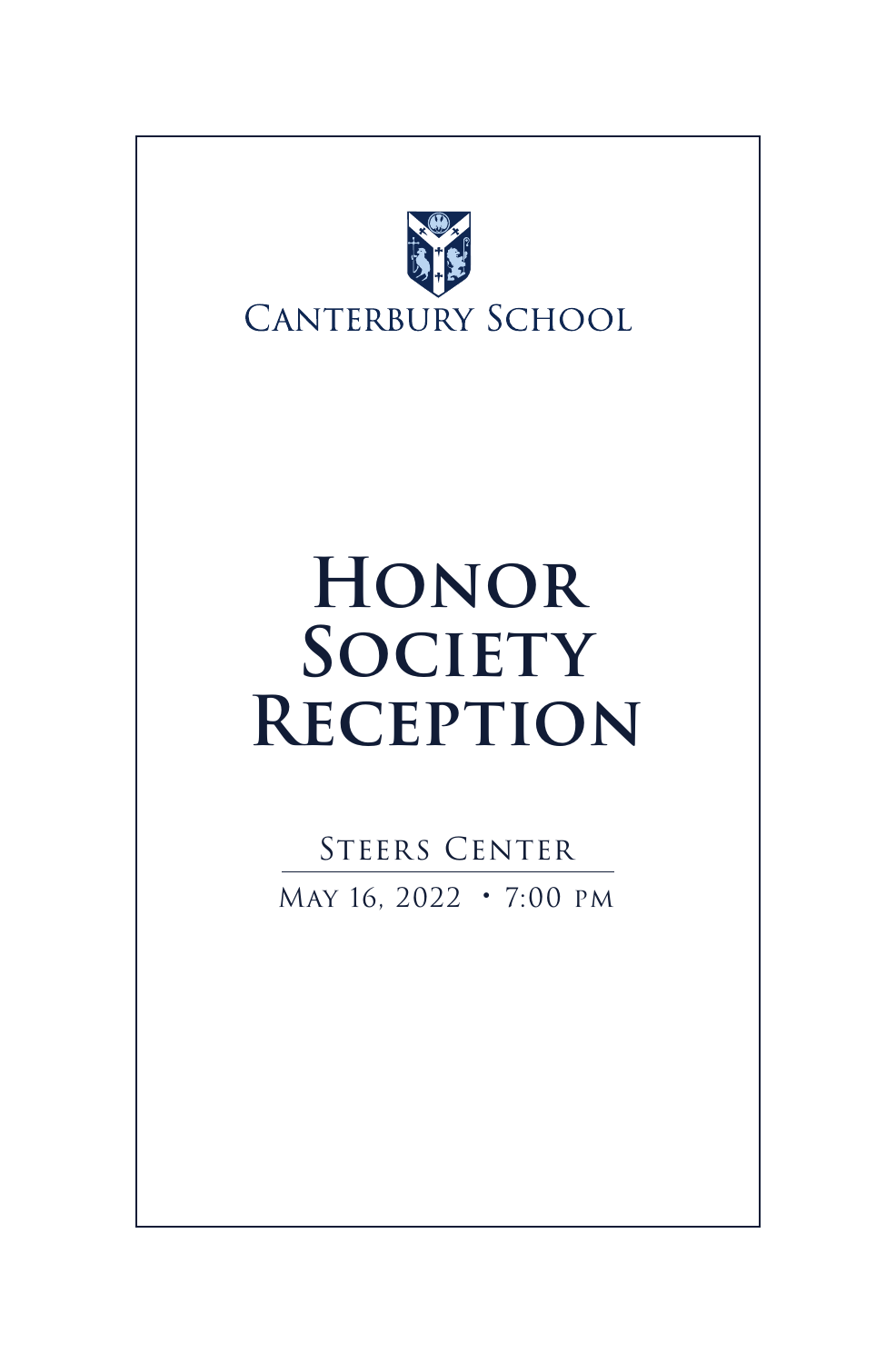

# **Honor SOCIETY Reception**

STEERS CENTER May 16, 2022 • 7:00 pm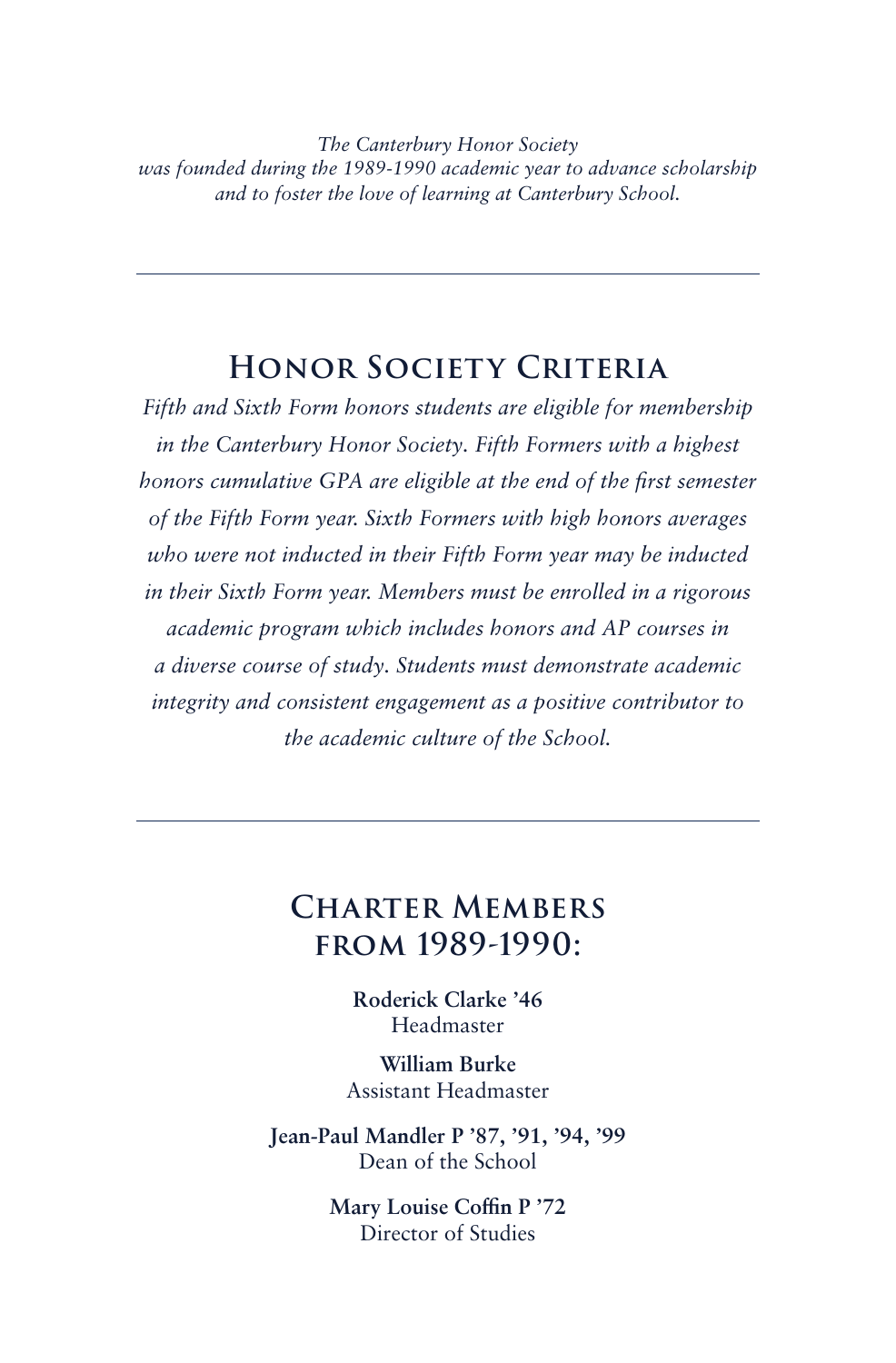*The Canterbury Honor Society was founded during the 1989-1990 academic year to advance scholarship and to foster the love of learning at Canterbury School.*

#### **Honor Society Criteria**

*Fifth and Sixth Form honors students are eligible for membership in the Canterbury Honor Society. Fifth Formers with a highest honors cumulative GPA are eligible at the end of the first semester of the Fifth Form year. Sixth Formers with high honors averages who were not inducted in their Fifth Form year may be inducted in their Sixth Form year. Members must be enrolled in a rigorous academic program which includes honors and AP courses in a diverse course of study. Students must demonstrate academic integrity and consistent engagement as a positive contributor to the academic culture of the School.*

#### **Charter Members from 1989-1990:**

**Roderick Clarke '46** Headmaster

**William Burke** Assistant Headmaster

**Jean-Paul Mandler P '87, '91, '94, '99** Dean of the School

> **Mary Louise Coffin P '72** Director of Studies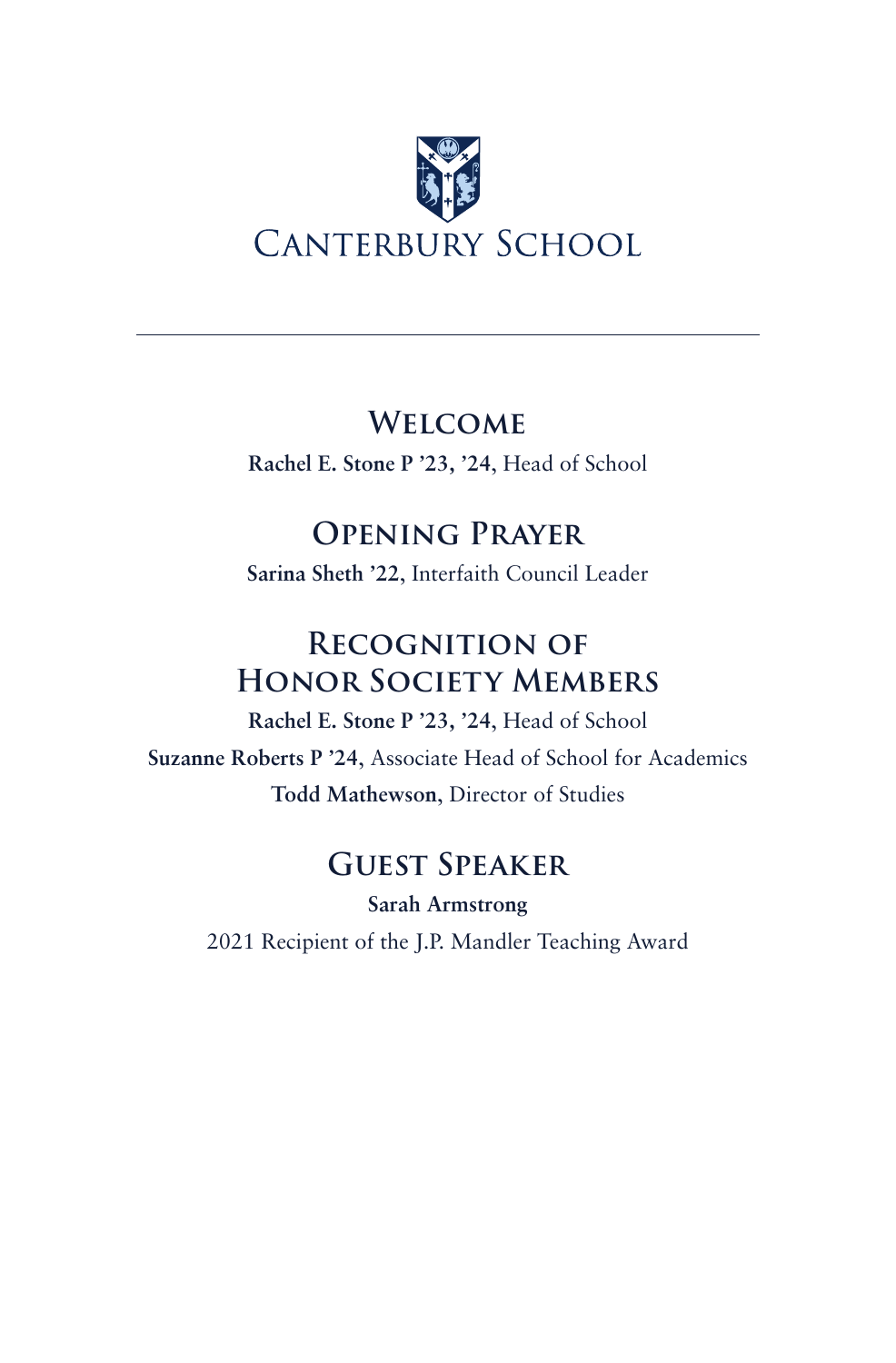

#### **Welcome**

**Rachel E. Stone P '23, '24**, Head of School

## **Opening Prayer**

**Sarina Sheth '22**, Interfaith Council Leader

## **Recognition of Honor Society Members**

**Rachel E. Stone P '23, '24**, Head of School **Suzanne Roberts P '24**, Associate Head of School for Academics **Todd Mathewson**, Director of Studies

## **Guest Speaker**

**Sarah Armstrong** 2021 Recipient of the J.P. Mandler Teaching Award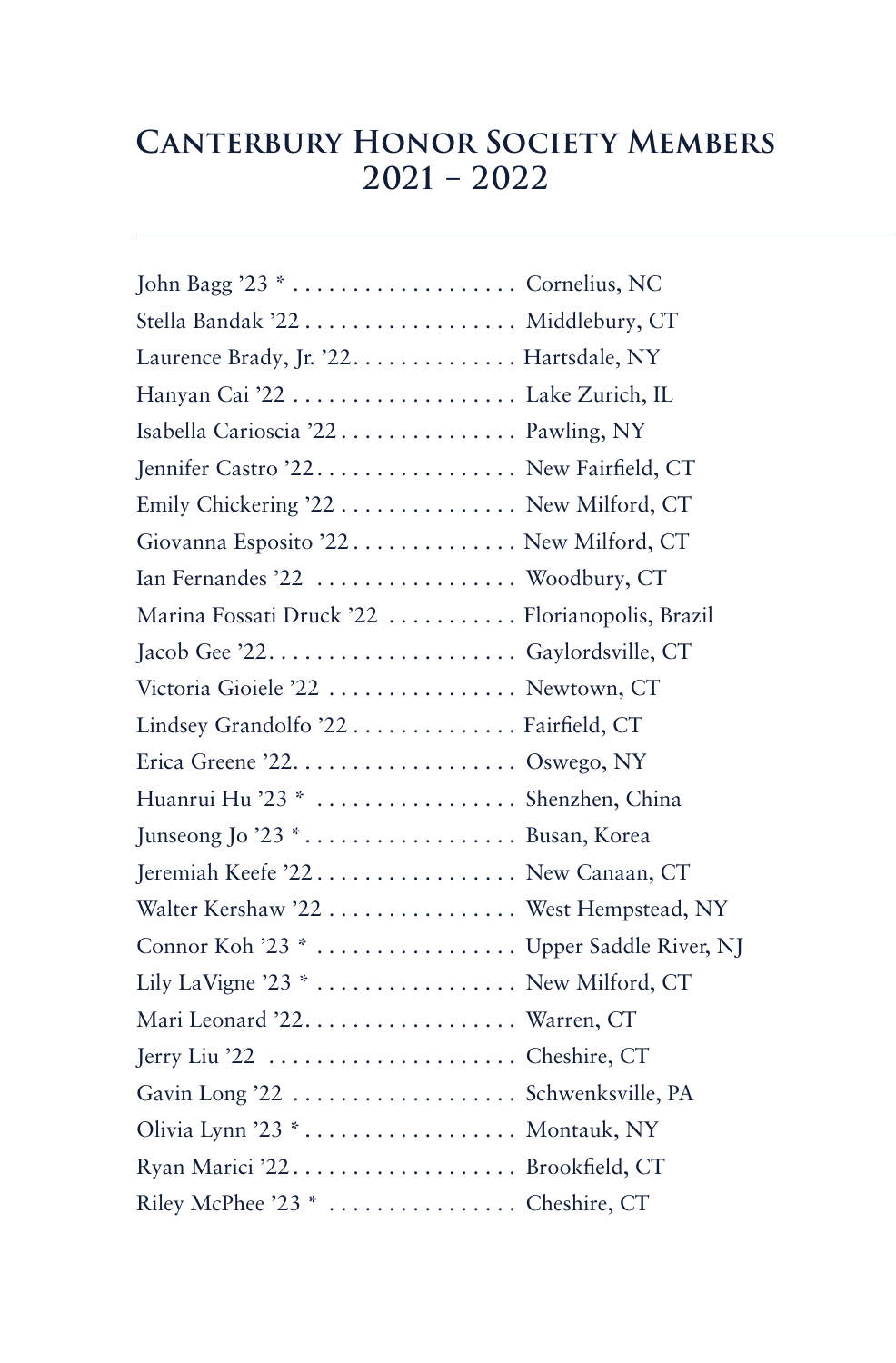# **Canterbury Honor Society Members 2021 – 2022**

| John Bagg '23 *  Cornelius, NC                  |
|-------------------------------------------------|
| Stella Bandak '22 Middlebury, CT                |
| Laurence Brady, Jr. '22. Hartsdale, NY          |
| Hanyan Cai '22  Lake Zurich, IL                 |
| Isabella Carioscia '22 Pawling, NY              |
| Jennifer Castro '22. New Fairfield, CT          |
| Emily Chickering '22 New Milford, CT            |
| Giovanna Esposito '22. New Milford, CT          |
| Ian Fernandes '22  Woodbury, CT                 |
| Marina Fossati Druck '22  Florianopolis, Brazil |
|                                                 |
| Victoria Gioiele '22  Newtown, CT               |
| Lindsey Grandolfo '22 Fairfield, CT             |
|                                                 |
| Huanrui Hu '23 *  Shenzhen, China               |
| Junseong Jo '23 * Busan, Korea                  |
| Jeremiah Keefe '22 New Canaan, CT               |
| Walter Kershaw '22  West Hempstead, NY          |
| Connor Koh '23 *  Upper Saddle River, NJ        |
| Lily LaVigne '23 * New Milford, CT              |
| Mari Leonard '22. Warren, CT                    |
| Jerry Liu '22  Cheshire, CT                     |
| Gavin Long '22  Schwenksville, PA               |
| Olivia Lynn '23 * Montauk, NY                   |
|                                                 |
| Riley McPhee '23 *  Cheshire, CT                |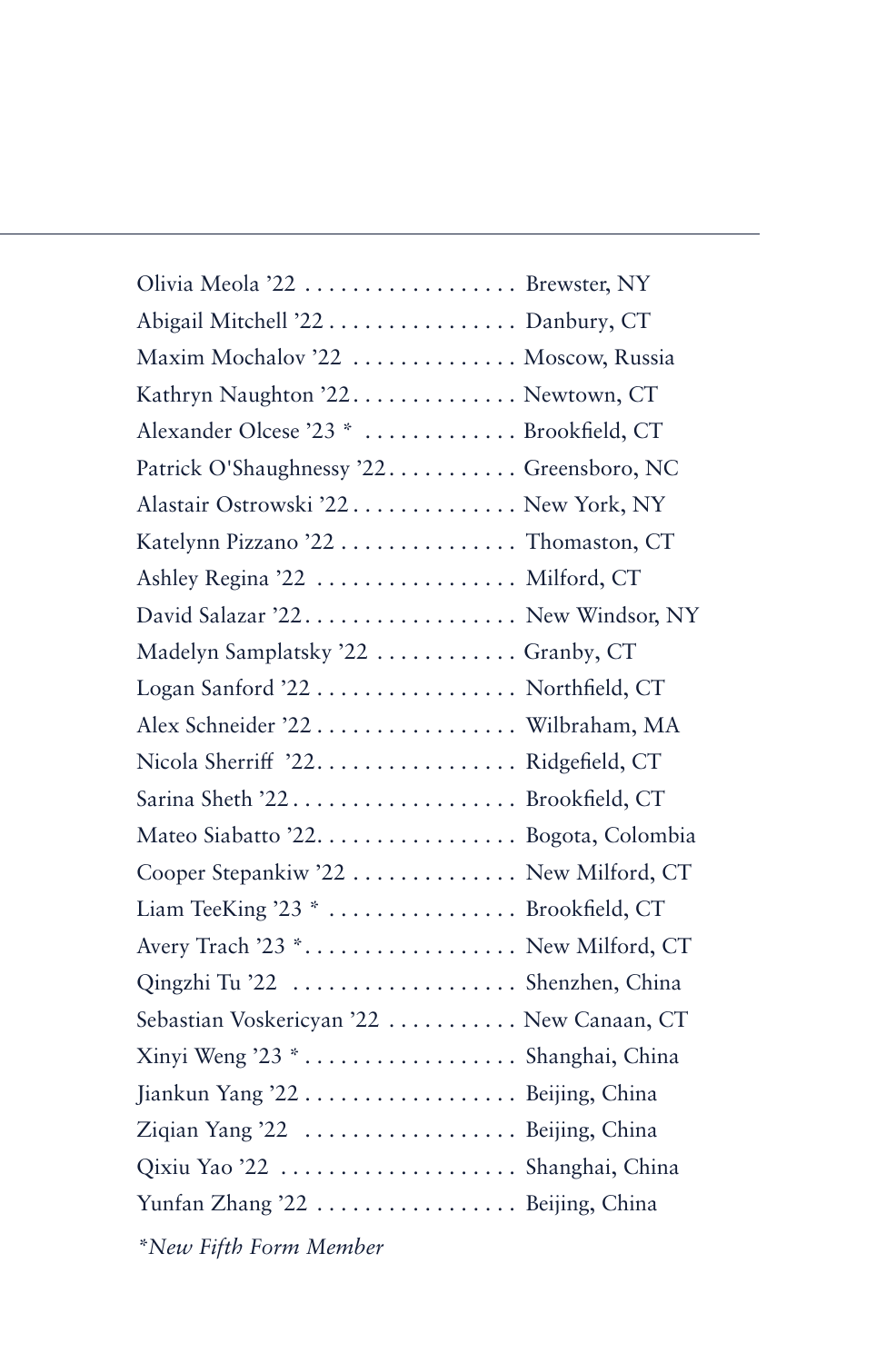| Olivia Meola '22  Brewster, NY            |  |
|-------------------------------------------|--|
| Abigail Mitchell '22 Danbury, CT          |  |
| Maxim Mochalov '22  Moscow, Russia        |  |
| Kathryn Naughton '22. Newtown, CT         |  |
| Alexander Olcese '23 *  Brookfield, CT    |  |
| Patrick O'Shaughnessy '22 Greensboro, NC  |  |
| Alastair Ostrowski '22 New York, NY       |  |
| Katelynn Pizzano '22 Thomaston, CT        |  |
| Ashley Regina '22  Milford, CT            |  |
| David Salazar '22. New Windsor, NY        |  |
| Madelyn Samplatsky '22  Granby, CT        |  |
| Logan Sanford '22  Northfield, CT         |  |
| Alex Schneider '22 Wilbraham, MA          |  |
| Nicola Sherriff '22. Ridgefield, CT       |  |
| Sarina Sheth '22 Brookfield, CT           |  |
| Mateo Siabatto '22. Bogota, Colombia      |  |
| Cooper Stepankiw '22 New Milford, CT      |  |
| Liam TeeKing '23 * Brookfield, CT         |  |
| Avery Trach '23 * New Milford, CT         |  |
| Qingzhi Tu '22  Shenzhen, China           |  |
| Sebastian Voskericyan '22  New Canaan, CT |  |
| Xinyi Weng '23 * Shanghai, China          |  |
| Jiankun Yang '22 Beijing, China           |  |
| Ziqian Yang '22  Beijing, China           |  |
| Qixiu Yao '22  Shanghai, China            |  |
| Yunfan Zhang '22 Beijing, China           |  |
| *New Fifth Form Member                    |  |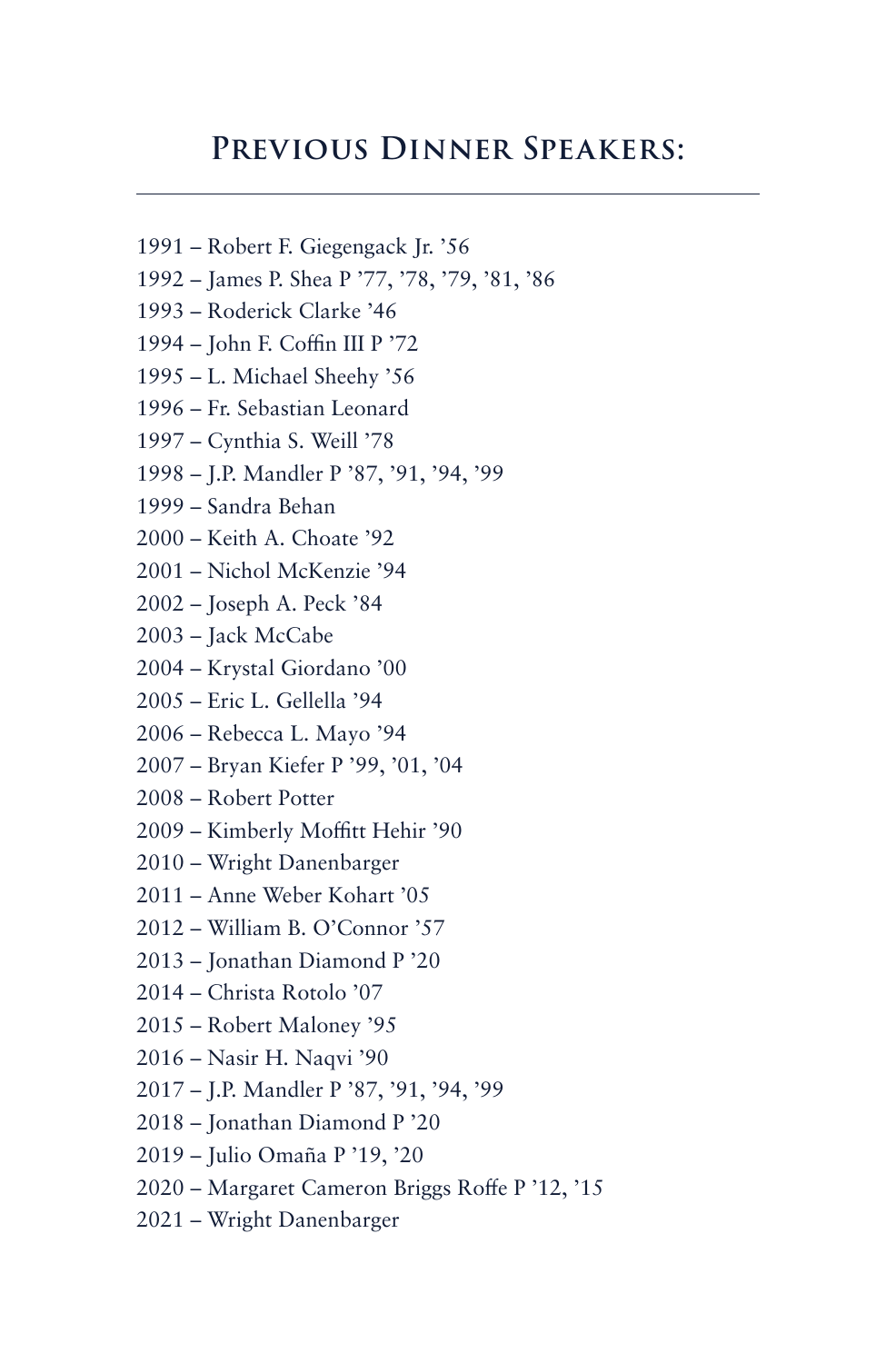#### **Previous Dinner Speakers:**

- 1991 Robert F. Giegengack Jr. '56
- 1992 James P. Shea P '77, '78, '79, '81, '86
- 1993 Roderick Clarke '46
- 1994 John F. Coffin III P '72
- 1995 L. Michael Sheehy '56
- 1996 Fr. Sebastian Leonard
- 1997 Cynthia S. Weill '78
- 1998 J.P. Mandler P '87, '91, '94, '99
- 1999 Sandra Behan
- 2000 Keith A. Choate '92
- 2001 Nichol McKenzie '94
- 2002 Joseph A. Peck '84
- 2003 Jack McCabe
- 2004 Krystal Giordano '00
- 2005 Eric L. Gellella '94
- 2006 Rebecca L. Mayo '94
- 2007 Bryan Kiefer P '99, '01, '04
- 2008 Robert Potter
- 2009 Kimberly Moffitt Hehir '90
- 2010 Wright Danenbarger
- 2011 Anne Weber Kohart '05
- 2012 William B. O'Connor '57
- 2013 Jonathan Diamond P '20
- 2014 Christa Rotolo '07
- 2015 Robert Maloney '95
- 2016 Nasir H. Naqvi '90
- 2017 J.P. Mandler P '87, '91, '94, '99
- 2018 Jonathan Diamond P '20
- 2019 Julio Omaña P '19, '20
- 2020 Margaret Cameron Briggs Roffe P '12, '15
- 2021 Wright Danenbarger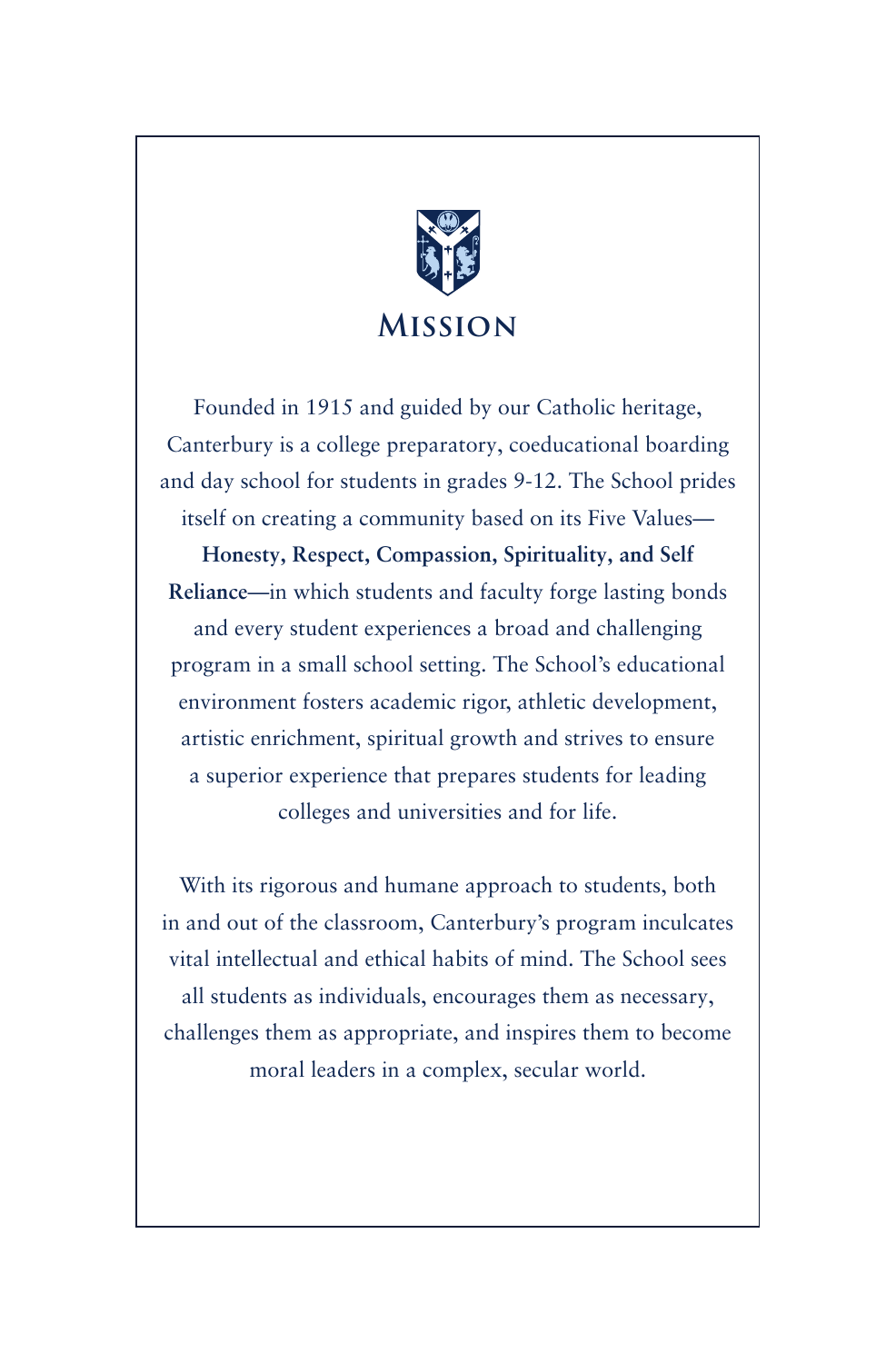

Founded in 1915 and guided by our Catholic heritage, Canterbury is a college preparatory, coeducational boarding and day school for students in grades 9-12. The School prides itself on creating a community based on its Five Values—

**Honesty, Respect, Compassion, Spirituality, and Self Reliance**—in which students and faculty forge lasting bonds and every student experiences a broad and challenging program in a small school setting. The School's educational environment fosters academic rigor, athletic development, artistic enrichment, spiritual growth and strives to ensure a superior experience that prepares students for leading colleges and universities and for life.

With its rigorous and humane approach to students, both in and out of the classroom, Canterbury's program inculcates vital intellectual and ethical habits of mind. The School sees all students as individuals, encourages them as necessary, challenges them as appropriate, and inspires them to become moral leaders in a complex, secular world.